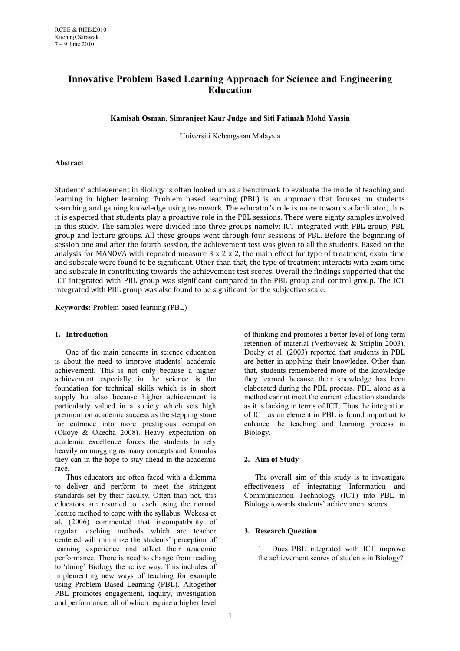# **Innovative Problem Based Learning Approach for Science and Engineering Education**

**Kamisah Osman**, **Simranjeet Kaur Judge and Siti Fatimah Mohd Yassin**

Universiti Kebangsaan Malaysia

## **Abstract**

Students' achievement in Biology is often looked up as a benchmark to evaluate the mode of teaching and learning in higher learning. Problem based learning (PBL) is an approach that focuses on students searching and gaining knowledge using teamwork. The educator's role is more towards a facilitator, thus it is expected that students play a proactive role in the PBL sessions. There were eighty samples involved in this study. The samples were divided into three groups namely: ICT integrated with PBL group, PBL group and lecture groups. All these groups went through four sessions of PBL. Before the beginning of session one and after the fourth session, the achievement test was given to all the students. Based on the analysis for MANOVA with repeated measure  $3 \times 2 \times 2$ , the main effect for type of treatment, exam time and subscale were found to be significant. Other than that, the type of treatment interacts with exam time and subscale in contributing towards the achievement test scores. Overall the findings supported that the ICT integrated with PBL group was significant compared to the PBL group and control group. The ICT integrated with PBL group was also found to be significant for the subjective scale.

**Keywords:** Problem based learning (PBL)

### **1. Introduction**

One of the main concerns in science education is about the need to improve students' academic achievement. This is not only because a higher achievement especially in the science is the foundation for technical skills which is in short supply but also because higher achievement is particularly valued in a society which sets high premium on academic success as the stepping stone for entrance into more prestigious occupation (Okoye & Okecha 2008). Heavy expectation on academic excellence forces the students to rely heavily on mugging as many concepts and formulas they can in the hope to stay ahead in the academic race.

Thus educators are often faced with a dilemma to deliver and perform to meet the stringent standards set by their faculty. Often than not, this educators are resorted to teach using the normal lecture method to cope with the syllabus. Wekesa et al. (2006) commented that incompatibility of regular teaching methods which are teacher centered will minimize the students' perception of learning experience and affect their academic performance. There is need to change from reading to 'doing' Biology the active way. This includes of implementing new ways of teaching for example using Problem Based Learning (PBL). Altogether PBL promotes engagement, inquiry, investigation and performance, all of which require a higher level

of thinking and promotes a better level of long-term retention of material (Verhovsek & Striplin 2003). Dochy et al. (2003) reported that students in PBL are better in applying their knowledge. Other than that, students remembered more of the knowledge they learned because their knowledge has been elaborated during the PBL process. PBL alone as a method cannot meet the current education standards as it is lacking in terms of ICT. Thus the integration of ICT as an element in PBL is found important to enhance the teaching and learning process in Biology.

## **2. Aim of Study**

The overall aim of this study is to investigate effectiveness of integrating Information and Communication Technology (ICT) into PBL in Biology towards students' achievement scores.

#### **3. Research Question**

1. Does PBL integrated with ICT improve the achievement scores of students in Biology?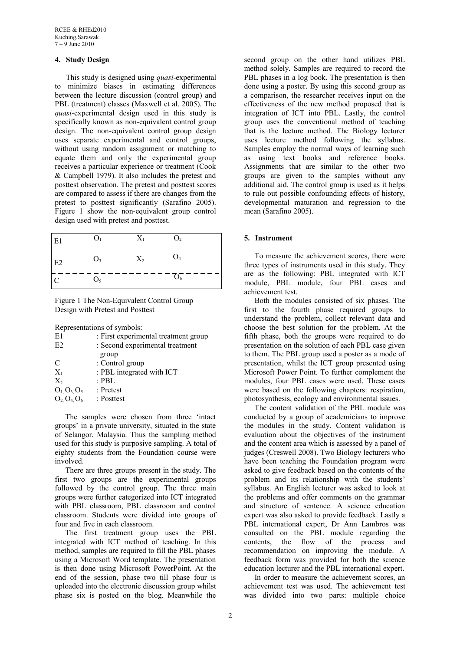## **4. Study Design**

This study is designed using *quasi*-experimental to minimize biases in estimating differences between the lecture discussion (control group) and PBL (treatment) classes (Maxwell et al. 2005). The *quasi*-experimental design used in this study is specifically known as non-equivalent control group design. The non-equivalent control group design uses separate experimental and control groups, without using random assignment or matching to equate them and only the experimental group receives a particular experience or treatment (Cook & Campbell 1979). It also includes the pretest and posttest observation. The pretest and posttest scores are compared to assess if there are changes from the pretest to posttest significantly (Sarafino 2005). Figure 1 show the non-equivalent group control design used with pretest and posttest.

| E1            | O <sub>1</sub> | $\mathbf{X}_1$ | O <sub>2</sub>            |  |
|---------------|----------------|----------------|---------------------------|--|
| E2            | $O_3$          | $X_2$          | O <sub>4</sub>            |  |
| $\mathcal{C}$ | O <sub>5</sub> |                | $\overline{\mathrm{O}_6}$ |  |

Figure 1 The Non-Equivalent Control Group Design with Pretest and Posttest

Representations of symbols:

| E1             | : First experimental treatment group |
|----------------|--------------------------------------|
| E <sub>2</sub> | : Second experimental treatment      |
|                | group                                |
| C              | : Control group                      |
| $X_1$          | : PBL integrated with ICT            |
| $X_{2}$        | : PBL                                |
| $O_1 O_3 O_5$  | : Pretest                            |
| $O_2 O_4 O_6$  | : Posttest                           |
|                |                                      |

The samples were chosen from three 'intact groups' in a private university, situated in the state of Selangor, Malaysia. Thus the sampling method used for this study is purposive sampling. A total of eighty students from the Foundation course were involved.

There are three groups present in the study. The first two groups are the experimental groups followed by the control group. The three main groups were further categorized into ICT integrated with PBL classroom, PBL classroom and control classroom. Students were divided into groups of four and five in each classroom.

The first treatment group uses the PBL integrated with ICT method of teaching. In this method, samples are required to fill the PBL phases using a Microsoft Word template. The presentation is then done using Microsoft PowerPoint. At the end of the session, phase two till phase four is uploaded into the electronic discussion group whilst phase six is posted on the blog. Meanwhile the

second group on the other hand utilizes PBL method solely. Samples are required to record the PBL phases in a log book. The presentation is then done using a poster. By using this second group as a comparison, the researcher receives input on the effectiveness of the new method proposed that is integration of ICT into PBL. Lastly, the control group uses the conventional method of teaching that is the lecture method. The Biology lecturer uses lecture method following the syllabus. Samples employ the normal ways of learning such as using text books and reference books. Assignments that are similar to the other two groups are given to the samples without any additional aid. The control group is used as it helps to rule out possible confounding effects of history, developmental maturation and regression to the mean (Sarafino 2005).

# **5. Instrument**

To measure the achievement scores, there were three types of instruments used in this study. They are as the following: PBL integrated with ICT module, PBL module, four PBL cases and achievement test.

Both the modules consisted of six phases. The first to the fourth phase required groups to understand the problem, collect relevant data and choose the best solution for the problem. At the fifth phase, both the groups were required to do presentation on the solution of each PBL case given to them. The PBL group used a poster as a mode of presentation, whilst the ICT group presented using Microsoft Power Point. To further complement the modules, four PBL cases were used. These cases were based on the following chapters: respiration, photosynthesis, ecology and environmental issues.

The content validation of the PBL module was conducted by a group of academicians to improve the modules in the study. Content validation is evaluation about the objectives of the instrument and the content area which is assessed by a panel of judges (Creswell 2008). Two Biology lecturers who have been teaching the Foundation program were asked to give feedback based on the contents of the problem and its relationship with the students' syllabus. An English lecturer was asked to look at the problems and offer comments on the grammar and structure of sentence. A science education expert was also asked to provide feedback. Lastly a PBL international expert, Dr Ann Lambros was consulted on the PBL module regarding the contents, the flow of the process and recommendation on improving the module. A feedback form was provided for both the science education lecturer and the PBL international expert.

In order to measure the achievement scores, an achievement test was used. The achievement test was divided into two parts: multiple choice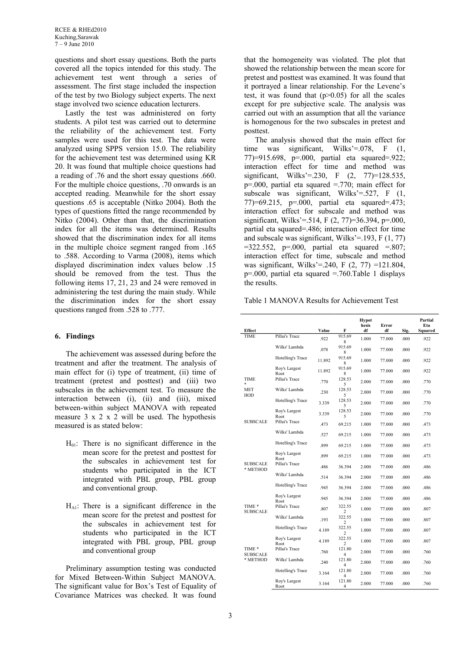RCEE & RHEd2010 Kuching,Sarawak 7 – 9 June 2010

questions and short essay questions. Both the parts covered all the topics intended for this study. The achievement test went through a series of assessment. The first stage included the inspection of the test by two Biology subject experts. The next stage involved two science education lecturers.

Lastly the test was administered on forty students. A pilot test was carried out to determine the reliability of the achievement test. Forty samples were used for this test. The data were analyzed using SPPS version 15.0. The reliability for the achievement test was determined using KR 20. It was found that multiple choice questions had a reading of .76 and the short essay questions .660. For the multiple choice questions, .70 onwards is an accepted reading. Meanwhile for the short essay questions .65 is acceptable (Nitko 2004). Both the types of questions fitted the range recommended by Nitko (2004). Other than that, the discrimination index for all the items was determined. Results showed that the discrimination index for all items in the multiple choice segment ranged from .165 to .588. According to Varma (2008), items which displayed discrimination index values below .15 should be removed from the test. Thus the following items 17, 21, 23 and 24 were removed in administering the test during the main study. While the discrimination index for the short essay questions ranged from .528 to .777.

## **6. Findings**

The achievement was assessed during before the treatment and after the treatment. The analysis of main effect for (i) type of treatment, (ii) time of treatment (pretest and posttest) and (iii) two subscales in the achievement test. To measure the interaction between (i), (ii) and (iii), mixed between-within subject MANOVA with repeated measure  $3 \times 2 \times 2$  will be used. The hypothesis measured is as stated below:

- $H<sub>01</sub>$ : There is no significant difference in the mean score for the pretest and posttest for the subscales in achievement test for students who participated in the ICT integrated with PBL group, PBL group and conventional group.
- HA1: There is a significant difference in the mean score for the pretest and posttest for the subscales in achievement test for students who participated in the ICT integrated with PBL group, PBL group and conventional group

Preliminary assumption testing was conducted for Mixed Between-Within Subject MANOVA. The significant value for Box's Test of Equality of Covariance Matrices was checked. It was found that the homogeneity was violated. The plot that showed the relationship between the mean score for pretest and posttest was examined. It was found that it portrayed a linear relationship. For the Levene's test, it was found that  $(p>0.05)$  for all the scales except for pre subjective scale. The analysis was carried out with an assumption that all the variance is homogenous for the two subscales in pretest and posttest.

The analysis showed that the main effect for time was significant, Wilks'=.078, F (1, 77)=915.698, p=.000, partial eta squared=.922; interaction effect for time and method was significant, Wilks'=.230, F (2, 77)=128.535,  $p=0.00$ , partial eta squared  $=0.770$ ; main effect for subscale was significant, Wilks'=.527, F (1, 77)=69.215, p=.000, partial eta squared=.473; interaction effect for subscale and method was significant, Wilks'=.514, F (2, 77)=36.394, p=.000, partial eta squared=.486; interaction effect for time and subscale was significant, Wilks'= $.193, F(1, 77)$  $=322.552$ ,  $p=.000$ , partial eta squared  $=.807$ ; interaction effect for time, subscale and method was significant, Wilks'=.240, F (2, 77) =121.804, p=.000, partial eta squared =.760.Table 1 displays the results.

Table 1 MANOVA Results for Achievement Test

| Effect                               |                       | Value  | F                        | <b>Hypot</b><br>hesis<br>df | Error<br>df | Sig. | Partial<br>Eta<br>Squared |
|--------------------------------------|-----------------------|--------|--------------------------|-----------------------------|-------------|------|---------------------------|
|                                      |                       |        |                          |                             |             |      |                           |
| <b>TIME</b>                          | Pillai's Trace        | .922   | 915.69<br>8              | 1.000                       | 77.000      | .000 | .922                      |
|                                      | Wilks' Lambda         | .078   | 915.69<br>8              | 1.000                       | 77.000      | .000 | .922                      |
|                                      | Hotelling's Trace     | 11.892 | 915.69<br>8              | 1.000                       | 77.000      | .000 | .922                      |
|                                      | Roy's Largest<br>Root | 11.892 | 915.69<br>8              | 1.000                       | 77.000      | .000 | .922                      |
| TIME                                 | Pillai's Trace        | .770   | 128.53<br>5              | 2.000                       | 77.000      | .000 | .770                      |
| MET<br>HOD                           | Wilks' Lambda         | .230   | 128.53<br>5              | 2.000                       | 77.000      | .000 | .770                      |
|                                      | Hotelling's Trace     | 3.339  | 128.53<br>5              | 2.000                       | 77.000      | .000 | .770                      |
|                                      | Roy's Largest<br>Root | 3.339  | 128.53<br>5              | 2.000                       | 77.000      | .000 | .770                      |
| <b>SUBSCALE</b>                      | Pillai's Trace        | .473   | 69.215                   | 1.000                       | 77.000      | .000 | .473                      |
|                                      | Wilks' Lambda         | .527   | 69.215                   | 1.000                       | 77.000      | .000 | .473                      |
|                                      | Hotelling's Trace     | .899   | 69.215                   | 1.000                       | 77.000      | .000 | .473                      |
|                                      | Roy's Largest<br>Root | .899   | 69.215                   | 1.000                       | 77.000      | .000 | .473                      |
| <b>SUBSCALE</b><br>* METHOD          | Pillai's Trace        | .486   | 36.394                   | 2.000                       | 77.000      | .000 | .486                      |
|                                      | Wilks' Lambda         | .514   | 36.394                   | 2.000                       | 77.000      | .000 | .486                      |
|                                      | Hotelling's Trace     | .945   | 36.394                   | 2.000                       | 77.000      | .000 | .486                      |
|                                      | Roy's Largest<br>Root | .945   | 36.394                   | 2.000                       | 77.000      | .000 | .486                      |
| TIME <sup>*</sup><br><b>SUBSCALE</b> | Pillai's Trace        | .807   | 322.55<br>2              | 1.000                       | 77.000      | .000 | .807                      |
|                                      | Wilks' Lambda         | .193   | 322.55<br>2              | 1.000                       | 77.000      | .000 | .807                      |
|                                      | Hotelling's Trace     | 4.189  | 322.55<br>2              | 1.000                       | 77.000      | .000 | .807                      |
|                                      | Roy's Largest<br>Root | 4.189  | 322.55<br>2              | 1.000                       | 77.000      | .000 | .807                      |
| TIME *<br><b>SUBSCALE</b>            | Pillai's Trace        | .760   | 121.80<br>4              | 2.000                       | 77.000      | .000 | .760                      |
| * METHOD                             | Wilks' Lambda         | .240   | 121.80<br>4              | 2.000                       | 77.000      | .000 | .760                      |
|                                      | Hotelling's Trace     | 3.164  | 121.80<br>$\overline{4}$ | 2.000                       | 77.000      | .000 | .760                      |
|                                      | Roy's Largest<br>Root | 3.164  | 121.80<br>$\overline{4}$ | 2.000                       | 77.000      | .000 | .760                      |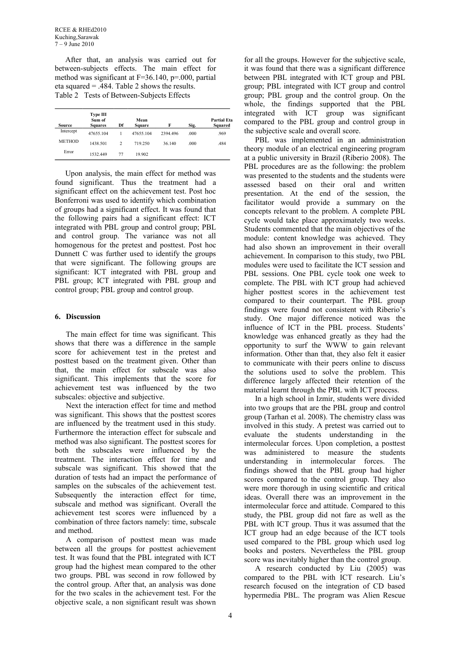After that, an analysis was carried out for between-subjects effects. The main effect for method was significant at F=36.140, p=.000, partial eta squared = .484. Table 2 shows the results. Table 2 Tests of Between-Subjects Effects

| Source        | Type III<br>Sum of<br><b>Squares</b> | Df             | Mean<br><b>Square</b> | F        | Sig. | Partial Eta<br>Squared |
|---------------|--------------------------------------|----------------|-----------------------|----------|------|------------------------|
| Intercept     | 47655.104                            |                | 47655 104             | 2394 496 | .000 | .969                   |
| <b>METHOD</b> | 1438 501                             | $\overline{c}$ | 719 250               | 36 140   | 000  | .484                   |
| Error         | 1532.449                             | 77             | 19 902                |          |      |                        |

Upon analysis, the main effect for method was found significant. Thus the treatment had a significant effect on the achievement test. Post hoc Bonferroni was used to identify which combination of groups had a significant effect. It was found that the following pairs had a significant effect: ICT integrated with PBL group and control group; PBL and control group. The variance was not all homogenous for the pretest and posttest. Post hoc Dunnett C was further used to identify the groups that were significant. The following groups are significant: ICT integrated with PBL group and PBL group; ICT integrated with PBL group and control group; PBL group and control group.

## **6. Discussion**

The main effect for time was significant. This shows that there was a difference in the sample score for achievement test in the pretest and posttest based on the treatment given. Other than that, the main effect for subscale was also significant. This implements that the score for achievement test was influenced by the two subscales: objective and subjective.

Next the interaction effect for time and method was significant. This shows that the posttest scores are influenced by the treatment used in this study. Furthermore the interaction effect for subscale and method was also significant. The posttest scores for both the subscales were influenced by the treatment. The interaction effect for time and subscale was significant. This showed that the duration of tests had an impact the performance of samples on the subscales of the achievement test. Subsequently the interaction effect for time, subscale and method was significant. Overall the achievement test scores were influenced by a combination of three factors namely: time, subscale and method.

A comparison of posttest mean was made between all the groups for posttest achievement test. It was found that the PBL integrated with ICT group had the highest mean compared to the other two groups. PBL was second in row followed by the control group. After that, an analysis was done for the two scales in the achievement test. For the objective scale, a non significant result was shown

for all the groups. However for the subjective scale, it was found that there was a significant difference between PBL integrated with ICT group and PBL group; PBL integrated with ICT group and control group; PBL group and the control group. On the whole, the findings supported that the PBL integrated with ICT group was significant compared to the PBL group and control group in the subjective scale and overall score.

PBL was implemented in an administration theory module of an electrical engineering program at a public university in Brazil (Riberio 2008). The PBL procedures are as the following: the problem was presented to the students and the students were assessed based on their oral and written presentation. At the end of the session, the facilitator would provide a summary on the concepts relevant to the problem. A complete PBL cycle would take place approximately two weeks. Students commented that the main objectives of the module: content knowledge was achieved. They had also shown an improvement in their overall achievement. In comparison to this study, two PBL modules were used to facilitate the ICT session and PBL sessions. One PBL cycle took one week to complete. The PBL with ICT group had achieved higher posttest scores in the achievement test compared to their counterpart. The PBL group findings were found not consistent with Riberio's study. One major difference noticed was the influence of ICT in the PBL process. Students' knowledge was enhanced greatly as they had the opportunity to surf the WWW to gain relevant information. Other than that, they also felt it easier to communicate with their peers online to discuss the solutions used to solve the problem. This difference largely affected their retention of the material learnt through the PBL with ICT process.

In a high school in Izmir, students were divided into two groups that are the PBL group and control group (Tarhan et al. 2008). The chemistry class was involved in this study. A pretest was carried out to evaluate the students understanding in the intermolecular forces. Upon completion, a posttest was administered to measure the students understanding in intermolecular forces. The findings showed that the PBL group had higher scores compared to the control group. They also were more thorough in using scientific and critical ideas. Overall there was an improvement in the intermolecular force and attitude. Compared to this study, the PBL group did not fare as well as the PBL with ICT group. Thus it was assumed that the ICT group had an edge because of the ICT tools used compared to the PBL group which used log books and posters. Nevertheless the PBL group score was inevitably higher than the control group.

A research conducted by Liu (2005) was compared to the PBL with ICT research. Liu's research focused on the integration of CD based hypermedia PBL. The program was Alien Rescue